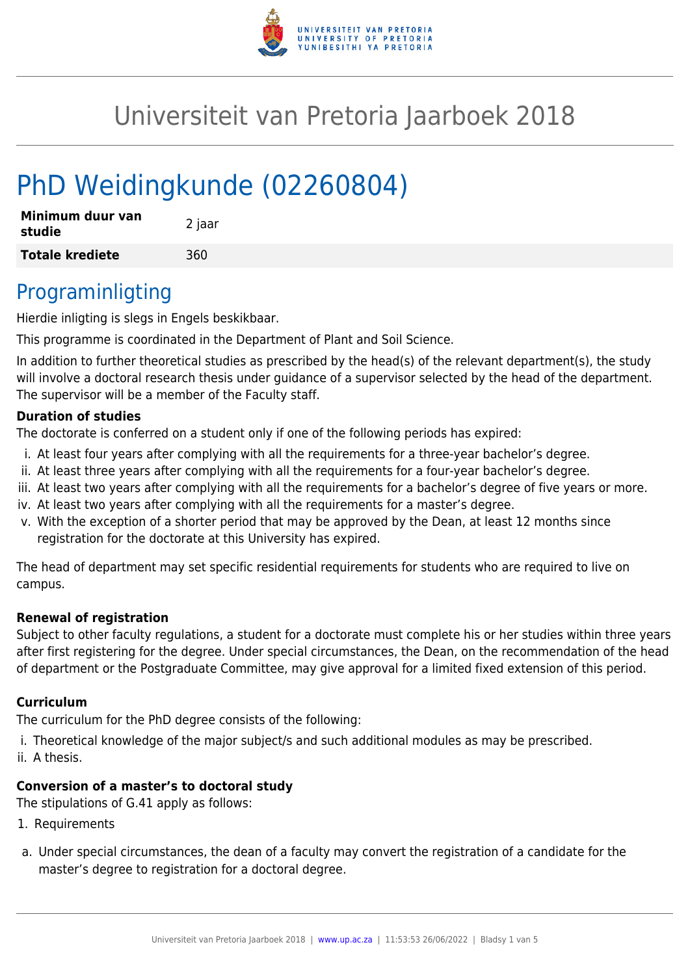

# Universiteit van Pretoria Jaarboek 2018

# PhD Weidingkunde (02260804)

| Minimum duur van<br>studie | 2 jaar |
|----------------------------|--------|
| <b>Totale krediete</b>     | 360    |

### Programinligting

Hierdie inligting is slegs in Engels beskikbaar.

This programme is coordinated in the Department of Plant and Soil Science.

In addition to further theoretical studies as prescribed by the head(s) of the relevant department(s), the study will involve a doctoral research thesis under guidance of a supervisor selected by the head of the department. The supervisor will be a member of the Faculty staff.

#### **Duration of studies**

The doctorate is conferred on a student only if one of the following periods has expired:

- i. At least four years after complying with all the requirements for a three-year bachelor's degree.
- ii. At least three years after complying with all the requirements for a four-year bachelor's degree.
- iii. At least two years after complying with all the requirements for a bachelor's degree of five years or more.
- iv. At least two years after complying with all the requirements for a master's degree.
- v. With the exception of a shorter period that may be approved by the Dean, at least 12 months since registration for the doctorate at this University has expired.

The head of department may set specific residential requirements for students who are required to live on campus.

#### **Renewal of registration**

Subject to other faculty regulations, a student for a doctorate must complete his or her studies within three years after first registering for the degree. Under special circumstances, the Dean, on the recommendation of the head of department or the Postgraduate Committee, may give approval for a limited fixed extension of this period.

#### **Curriculum**

The curriculum for the PhD degree consists of the following:

- i. Theoretical knowledge of the major subject/s and such additional modules as may be prescribed.
- ii. A thesis.

#### **Conversion of a master's to doctoral study**

The stipulations of G.41 apply as follows:

- 1. Requirements
- a. Under special circumstances, the dean of a faculty may convert the registration of a candidate for the master's degree to registration for a doctoral degree.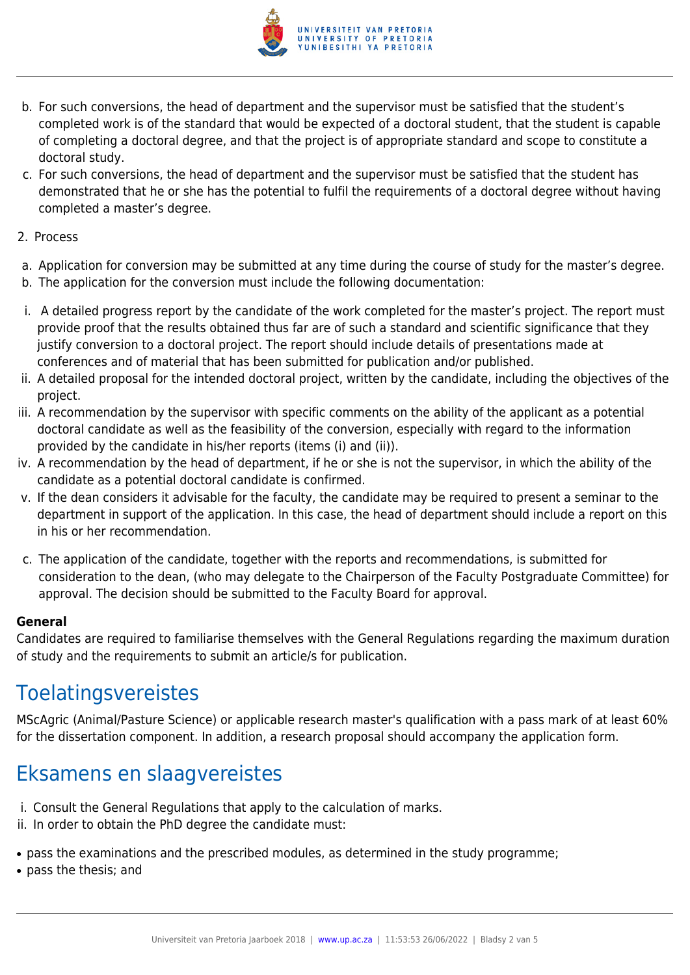

- b. For such conversions, the head of department and the supervisor must be satisfied that the student's completed work is of the standard that would be expected of a doctoral student, that the student is capable of completing a doctoral degree, and that the project is of appropriate standard and scope to constitute a doctoral study.
- c. For such conversions, the head of department and the supervisor must be satisfied that the student has demonstrated that he or she has the potential to fulfil the requirements of a doctoral degree without having completed a master's degree.
- 2. Process
- a. Application for conversion may be submitted at any time during the course of study for the master's degree.
- b. The application for the conversion must include the following documentation:
- i. A detailed progress report by the candidate of the work completed for the master's project. The report must provide proof that the results obtained thus far are of such a standard and scientific significance that they justify conversion to a doctoral project. The report should include details of presentations made at conferences and of material that has been submitted for publication and/or published.
- ii. A detailed proposal for the intended doctoral project, written by the candidate, including the objectives of the project.
- iii. A recommendation by the supervisor with specific comments on the ability of the applicant as a potential doctoral candidate as well as the feasibility of the conversion, especially with regard to the information provided by the candidate in his/her reports (items (i) and (ii)).
- iv. A recommendation by the head of department, if he or she is not the supervisor, in which the ability of the candidate as a potential doctoral candidate is confirmed.
- v. If the dean considers it advisable for the faculty, the candidate may be required to present a seminar to the department in support of the application. In this case, the head of department should include a report on this in his or her recommendation.
- c. The application of the candidate, together with the reports and recommendations, is submitted for consideration to the dean, (who may delegate to the Chairperson of the Faculty Postgraduate Committee) for approval. The decision should be submitted to the Faculty Board for approval.

#### **General**

Candidates are required to familiarise themselves with the General Regulations regarding the maximum duration of study and the requirements to submit an article/s for publication.

### Toelatingsvereistes

MScAgric (Animal/Pasture Science) or applicable research master's qualification with a pass mark of at least 60% for the dissertation component. In addition, a research proposal should accompany the application form.

## Eksamens en slaagvereistes

- i. Consult the General Regulations that apply to the calculation of marks.
- ii. In order to obtain the PhD degree the candidate must:
- pass the examinations and the prescribed modules, as determined in the study programme;
- pass the thesis; and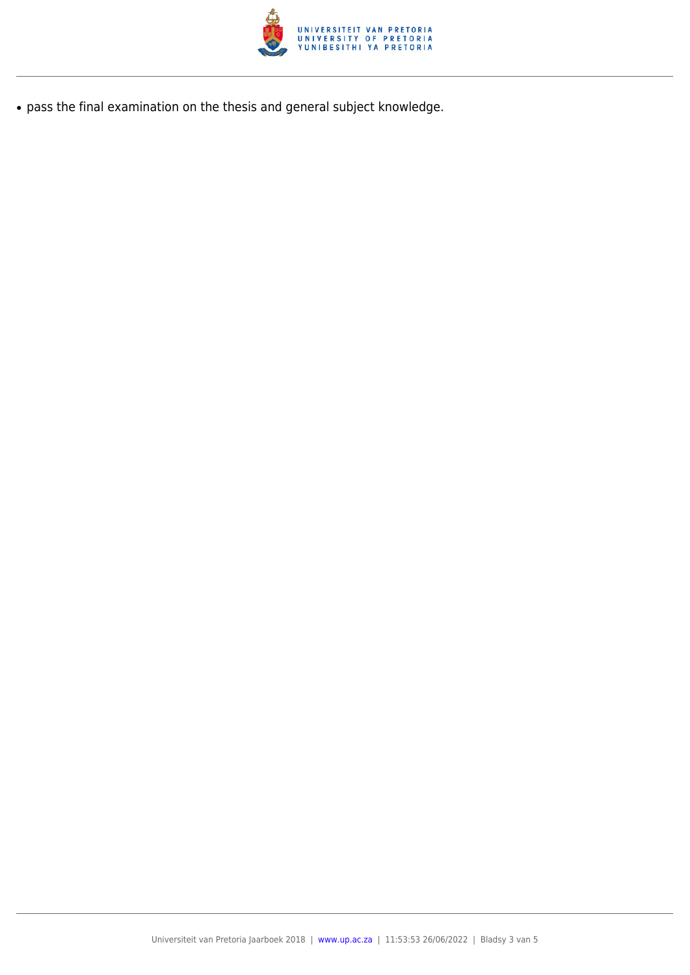

● pass the final examination on the thesis and general subject knowledge.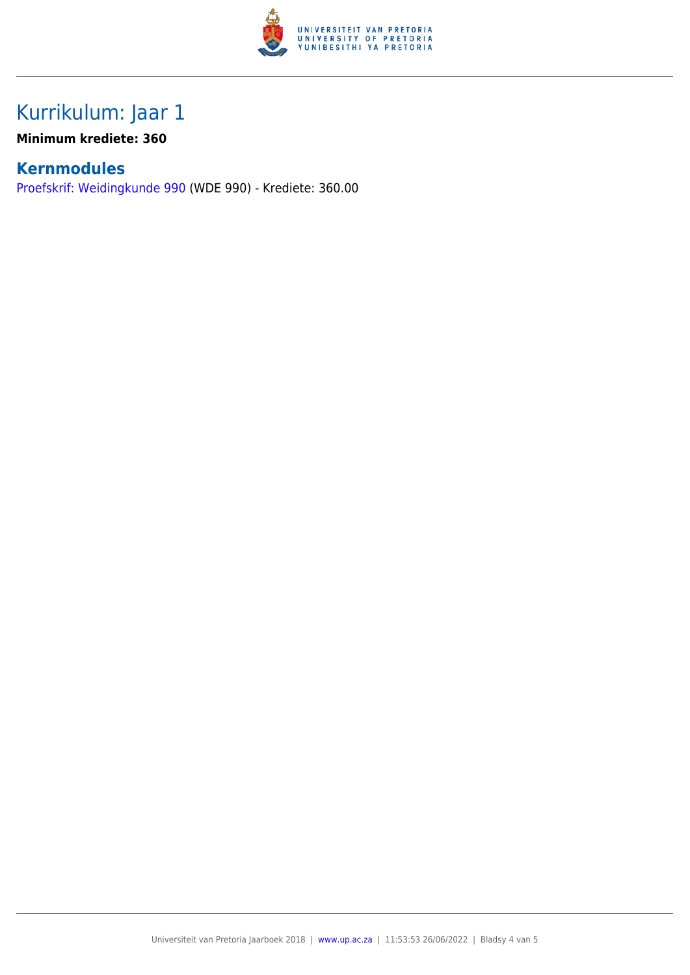

## Kurrikulum: Jaar 1

**Minimum krediete: 360**

### **Kernmodules**

[Proefskrif: Weidingkunde 990](https://www.up.ac.za/yearbooks/2018/SCI-faculty/PG-modules/view/WDE 990/lg/af) (WDE 990) - Krediete: 360.00